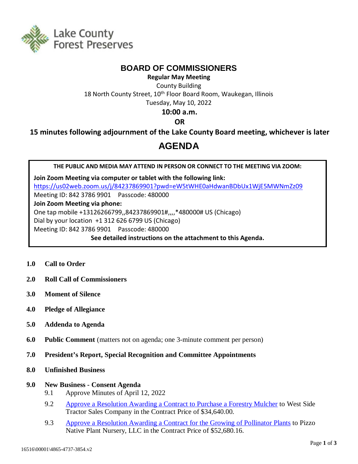

## **BOARD OF COMMISSIONERS**

**Regular May Meeting** County Building 18 North County Street, 10<sup>th</sup> Floor Board Room, Waukegan, Illinois Tuesday, May 10, 2022

### **10:00 a.m.**

**OR**

**15 minutes following adjournment of the Lake County Board meeting, whichever is later**

# **AGENDA**

**THE PUBLIC AND MEDIA MAY ATTEND IN PERSON OR CONNECT TO THE MEETING VIA ZOOM:**

**Join Zoom Meeting via computer or tablet with the following link:** <https://us02web.zoom.us/j/84237869901?pwd=eW5tWHE0aHdwanBDbUx1WjE5MWNmZz09> Meeting ID: 842 3786 9901 Passcode: 480000 **Join Zoom Meeting via phone:** One tap mobile +13126266799,,84237869901#,,,,\*480000# US (Chicago) Dial by your location +1 312 626 6799 US (Chicago) Meeting ID: 842 3786 9901 Passcode: 480000 **See detailed instructions on the attachment to this Agenda.**

- **1.0 Call to Order**
- **2.0 Roll Call of Commissioners**
- **3.0 Moment of Silence**
- **4.0 Pledge of Allegiance**
- **5.0 Addenda to Agenda**
- **6.0 Public Comment** (matters not on agenda; one 3-minute comment per person)
- **7.0 President's Report, Special Recognition and Committee Appointments**
- **8.0 Unfinished Business**

#### **9.0 New Business - Consent Agenda**

- 9.1 Approve Minutes of April 12, 2022
- 9.2 [Approve a Resolution Awarding a Contract to Purchase a Forestry Mulcher](http://www.lcfpd.org/assets/1/28/9.277.pdf) to West Side Tractor Sales Company in the Contract Price of \$34,640.00.
- 9.3 [Approve a Resolution Awarding a Contract for the Growing of Pollinator Plants](http://www.lcfpd.org/assets/1/28/9.379.pdf) to Pizzo Native Plant Nursery, LLC in the Contract Price of \$52,680.16.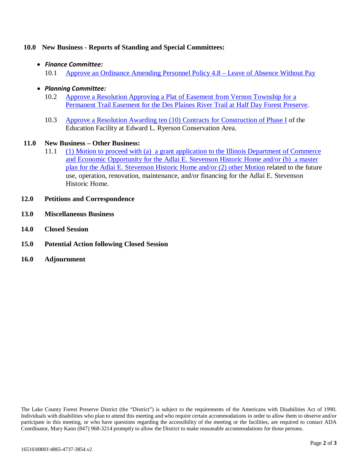#### **10.0 New Business - Reports of Standing and Special Committees:**

#### • *Finance Committee:*

- 10.1 [Approve an Ordinance Amending Personnel Policy 4.8 –](http://www.lcfpd.org/assets/1/28/10.114.pdf) Leave of Absence Without Pay
- *Planning Committee:*
	- 10.2 [Approve a Resolution Approving a Plat of Easement from Vernon Township for a](http://www.lcfpd.org/assets/1/28/10.215.pdf)  [Permanent Trail Easement for the Des Plaines River Trail at Half Day Forest Preserve.](http://www.lcfpd.org/assets/1/28/10.215.pdf)
	- 10.3 [Approve a Resolution Awarding ten \(10\)](http://www.lcfpd.org/assets/1/28/10.313.pdf) Contracts for Construction of Phase I of the Education Facility at Edward L. Ryerson Conservation Area.

#### **11.0 New Business – Other Business:**

- 11.1 [\(1\) Motion to proceed with \(a\) a grant application to the Illinois Department of Commerce](http://www.lcfpd.org/assets/1/28/11.1_Stevenson_Policy_Direction_4858-1979-2926_v.31.pdf)  [and Economic Opportunity for the Adlai E. Stevenson Historic Home](http://www.lcfpd.org/assets/1/28/11.1_Stevenson_Policy_Direction_4858-1979-2926_v.31.pdf) and/or (b) a master plan for the Adlai E. [Stevenson Historic Home](http://www.lcfpd.org/assets/1/28/11.1_Stevenson_Policy_Direction_4858-1979-2926_v.31.pdf) and/or (2) other Motion related to the future use, operation, renovation, maintenance, and/or financing for the Adlai E. Stevenson Historic Home.
- **12.0 Petitions and Correspondence**
- **13.0 Miscellaneous Business**
- **14.0 Closed Session**
- **15.0 Potential Action following Closed Session**
- **16.0 Adjournment**

The Lake County Forest Preserve District (the "District") is subject to the requirements of the Americans with Disabilities Act of 1990. Individuals with disabilities who plan to attend this meeting and who require certain accommodations in order to allow them to observe and/or participate in this meeting, or who have questions regarding the accessibility of the meeting or the facilities, are required to contact ADA Coordinator, Mary Kann (847) 968-3214 promptly to allow the District to make reasonable accommodations for those persons.